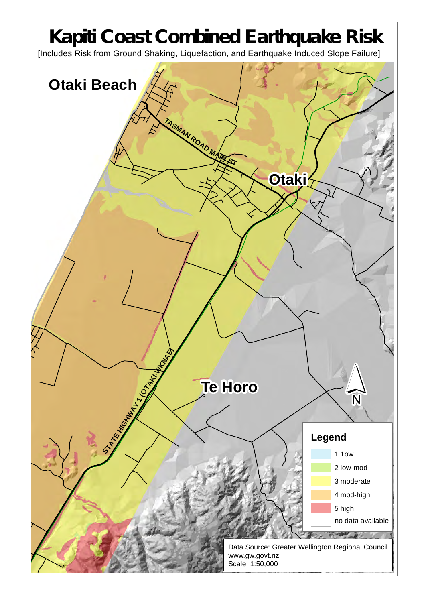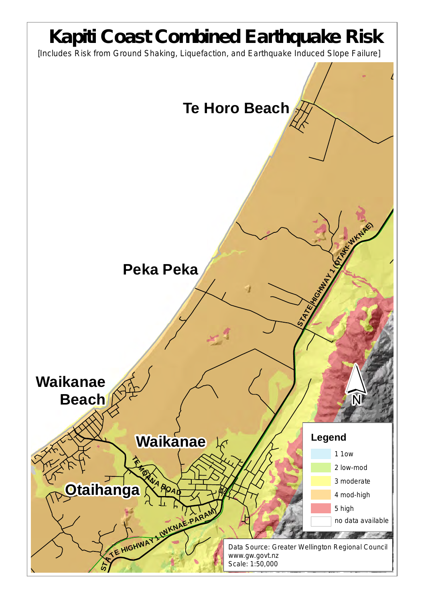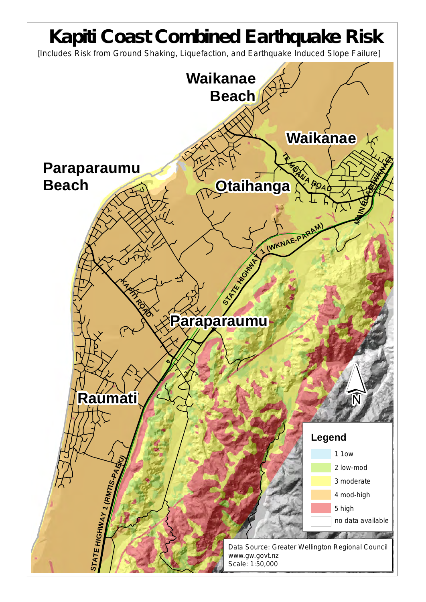